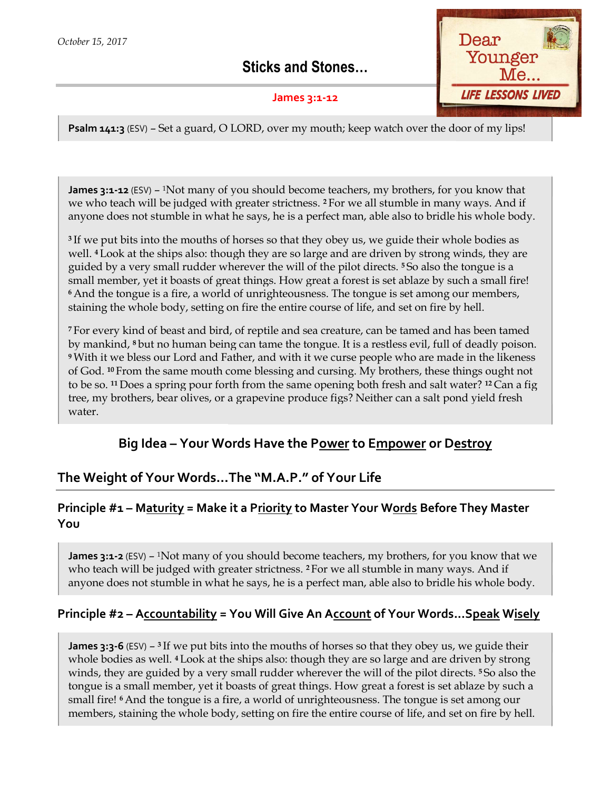Sticks and Stones…

#### James 3:1-12



**Psalm 141:3** (ESV) – Set a guard, O LORD, over my mouth; keep watch over the door of my lips!

**James 3:1-12** (ESV) – <sup>1</sup>Not many of you should become teachers, my brothers, for you know that **James 3:1-12** (ESV) – <sup>1</sup>Not many of you should become teachers, my brothers, for you know that we who teach will be judged with greater strictness. <sup>2</sup> For we all stumble in many ways. And if anyone does not stumble in what he says, he is a perfect man, able also to bridle his whole body. keep watch over the door of my lips!<br>hers, my brothers, for you know that<br>we all stumble in many ways. And if<br>nan, able also to bridle his whole body.

<sup>3</sup>If we put bits into the mouths of horses so that they obey us, we guide their whole bodies as well. 4 Look at the ships also: though they are so large and are driven by strong winds, they are guided by a very small rudder wherever the will of the pilot directs. <sup>5</sup> So also the tongue is a small member, yet it boasts of great things. How great a forest is set ablaze by such a small fire! small member, yet it boasts of great things. How great a forest is set ablaze by such a small fire<br>6 And the tongue is a fire, a world of unrighteousness. The tongue is set among our members, staining the whole body, setting on fire the entire course of life, and set on fire by hell. anyone does not stumble in what he says, he is a perfect man, able also to bridle his whole body<br><sup>3</sup> If we put bits into the mouths of horses so that they obey us, we guide their whole bodies as<br>well. <sup>4</sup> Look at the ships all rudder wherever the will of the pilot directs. <sup>5</sup>So also the tongue is a boasts of great things. How great a forest is set ablaze by such a small fire!<br>
i fire, a world of unrighteousness. The tongue is set among our

<sup>7</sup>For every kind of beast and bird, of reptile and sea creature, can be tamed and has been tamed by mankind, 8 but no human being can tame the tongue. It is a restless evil, full of <sup>9</sup>With it we bless our Lord and Father, and with it we curse people who are made in the likeness of God. 10 From the same mouth come blessing and cursing. My brothers, these things ought not to be so. <sup>11</sup> Does a spring pour forth from the same opening both fresh and salt water? <sup>12</sup> Can a fig tree, my brothers, bear olives, or a grapevine produce figs? Neither can a salt pond yield fresh water. i beast and bird, of reptile and sea creature, can be tamed and has be<br>no human being can tame the tongue. It is a restless evil, full of deac<br>our Lord and Father, and with it we curse people who are made in th<br>e same mout

# Big Idea - Your Words Have the Power to Empower or Destroy

# The Weight of Your Words…The "M.A.P." of Y Weight of Your Life

### Principle #1 – Maturity = Make it a Priority to Master Your Words Before They Master You

**James 3:1-2** (ESV) –  $\frac{1}{1}$  Not many of you should become teachers, my brothers, for you know that we James 3:1-2 (ESV) – <sup>1</sup>Not many of you should become teachers, my brothers, for you know that who teach will be judged with greater strictness. <sup>2</sup> For we all stumble in many ways. And if anyone does not stumble in what he says, he is a perfect man, able also to bridle his whole body.

#### Principle #2 - Accountability = You Will Give An Account of Your Words...Speak Wisely

**James 3:3-6** (ESV) – <sup>3</sup> If we put bits into the mouths of horses so that they obey us, we guide their whole bodies as well. 4 Look at the ships also: though they are so large and are driven by strong winds, they are guided by a very small rudder wherever the will of the pilot directs. <sup>5</sup>So also the tongue is a small member, yet it boasts of great things. How great a forest is set ablaze by such a small fire! 6 And the tongue is a fire, a world of unrighteousness. The tongue is set among our small fire! 6 And the tongue is a fire, a world of unrighteousness. The tongue is set among our<br>members, staining the whole body, setting on fire the entire course of life, and set on fire by hell. **James 3:3-6** (ESV) – <sup>3</sup> If we put bits into the mouths of horses so that they obey us, we guide their whole bodies as well. <sup>4</sup> Look at the ships also: though they are so large and are driven by strong winds, they are gu